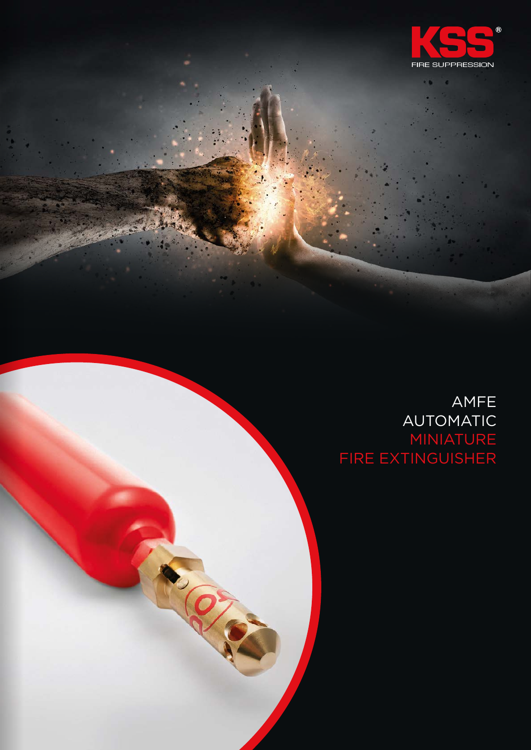

٠

### AMFE AUTOMATIC MINIATURE FIRE EXTINGUISHER

**P. QS**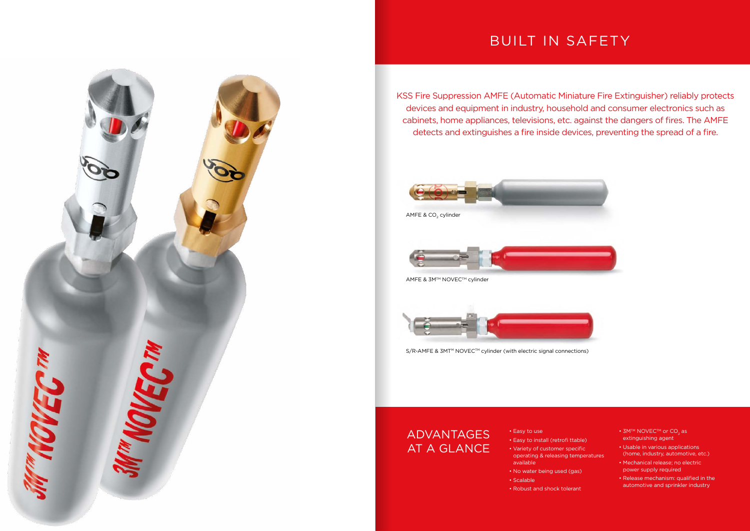# BUILT IN SAFETY

KSS Fire Suppression AMFE (Automatic Miniature Fire Extinguisher) reliably protects devices and equipment in industry, household and consumer electronics such as cabinets, home appliances, televisions, etc. against the dangers of fires. The AMFE detects and extinguishes a fire inside devices, preventing the spread of a fire.





S/R-AMFE & 3MT<sup>M</sup> NOVEC<sup>™</sup> cylinder (with electric signal connections)

- 3M™ NOVEC™ or CO2 as extinguishing agent
- Usable in various applications (home, industry, automotive, etc.)
- Mechanical release; no electric power supply required
- Release mechanism: qualified in the automotive and sprinkler industry
- Easy to use
- Easy to install (retrofi ttable) • Variety of customer specific operating & releasing temperatures available
- No water being used (gas)
- Scalable
- Robust and shock tolerant



## ADVANTAGES AT A GLANCE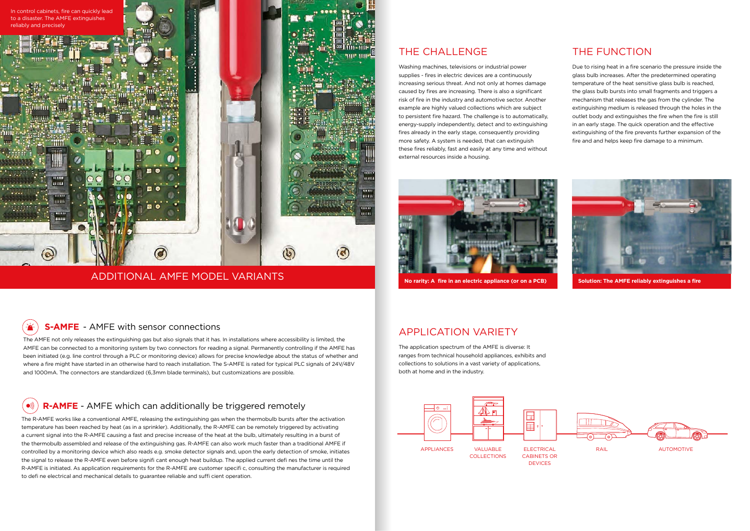The AMFE not only releases the extinguishing gas but also signals that it has. In installations where accessibility is limited, the AMFE can be connected to a monitoring system by two connectors for reading a signal. Permanently controlling if the AMFE has been initiated (e.g. line control through a PLC or monitoring device) allows for precise knowledge about the status of whether and where a fire might have started in an otherwise hard to reach installation. The S-AMFE is rated for typical PLC signals of 24V/48V and 1000mA. The connectors are standardized (6,3mm blade terminals), but customizations are possible.

### $\bullet$ **R-AMFE** - AMFE which can additionally be triggered remotely

The R-AMFE works like a conventional AMFE, releasing the extinguishing gas when the thermobulb bursts after the activation temperature has been reached by heat (as in a sprinkler). Additionally, the R-AMFE can be remotely triggered by activating a current signal into the R-AMFE causing a fast and precise increase of the heat at the bulb, ultimately resulting in a burst of the thermobulb assembled and release of the extinguishing gas. R-AMFE can also work much faster than a traditional AMFE if controlled by a monitoring device which also reads e.g. smoke detector signals and, upon the early detection of smoke, initiates the signal to release the R-AMFE even before signifi cant enough heat buildup. The applied current defi nes the time until the R-AMFE is initiated. As application requirements for the R-AMFE are customer specifi c, consulting the manufacturer is required to defi ne electrical and mechanical details to guarantee reliable and suffi cient operation.

### ADDITIONAL AMFE MODEL VARIANTS

### THE CHALL ENGE



Washing machines, televisions or industrial power supplies - fires in electric devices are a continuously increasing serious threat. And not only at homes damage caused by fires are increasing. There is also a significant risk of fire in the industry and automotive sector. Another example are highly valued collections which are subject to persistent fire hazard. The challenge is to automatically, energy-supply independently, detect and to extinguishing fires already in the early stage, consequently providing more safety. A system is needed, that can extinguish these fires reliably, fast and easily at any time and without external resources inside a housing.



**No rarity: A fire in an electric appliance (or on a PCB) Solution: The AMFE reliably extinguishes a fire** 

#### **S-AMFE** - AMFE with sensor connections  $\rightarrow$

### APPLICATION VARIETY

The application spectrum of the AMFE is diverse: It ranges from technical household appliances, exhibits and collections to solutions in a vast variety of applications, both at home and in the industry.





### THE FUNCTION

Due to rising heat in a fire scenario the pressure inside the glass bulb increases. After the predetermined operating temperature of the heat sensitive glass bulb is reached, the glass bulb bursts into small fragments and triggers a mechanism that releases the gas from the cylinder. The extinguishing medium is released through the holes in the outlet body and extinguishes the fire when the fire is still in an early stage. The quick operation and the effective extinguishing of the fire prevents further expansion of the fire and and helps keep fire damage to a minimum.

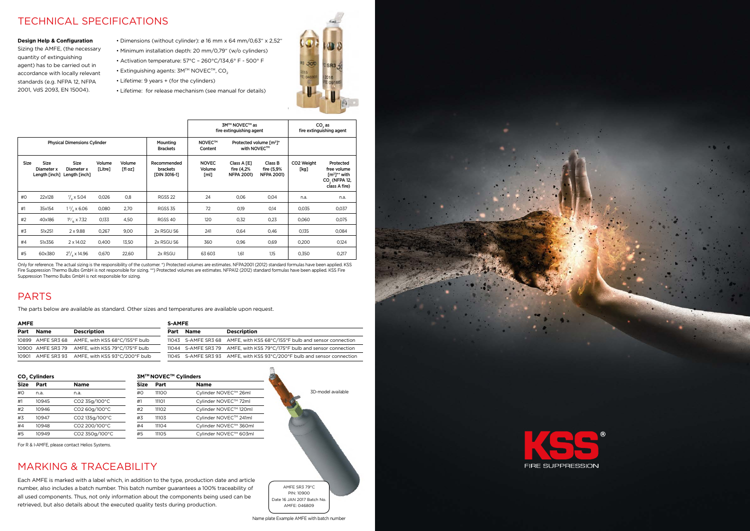### TECHNICAL SPECIFICATIONS

### PARTS

### MARKING & TRACEABILITY

- Dimensions (without cylinder): ø 16 mm x 64 mm/0,63" x 2,52"
- Minimum installation depth: 20 mm/0,79" (w/o cylinders)
- Activation temperature: 57°C 260°C/134,6° F 500° F
- Extinguishing agents:  $3M<sup>TM</sup>$  NOVEC<sup>TM</sup>, CO<sub>2</sub>
- Lifetime: 9 years + (for the cylinders)
- Lifetime: for release mechanism (see manual for details)



#### **Design Help & Configuration**

Sizing the AMFE, (the necessary quantity of extinguishing agent) has to be carried out in accordance with locally relevant standards (e.g. NFPA 12, NFPA 2001, VdS 2093, EN 15004).

The parts below are available as standard. Other sizes and temperatures are available upon request.

3MTM  $Size$ 

Each AMFE is marked with a label which, in addition to the type, production date and article number, also includes a batch number. This batch number guarantees a 100% traceability of all used components. Thus, not only information about the components being used can be retrieved, but also details about the executed quality tests during production.

For R & I-AMFE, please contact Helios Systems.

|             |                                            |                                            |                   |                   |                                                |                                | 3M™ NOVEC™ as<br>fire extinguishing agent      |                                            |                                | CO <sub>2</sub> as<br>fire extinguishing agent                                                       |
|-------------|--------------------------------------------|--------------------------------------------|-------------------|-------------------|------------------------------------------------|--------------------------------|------------------------------------------------|--------------------------------------------|--------------------------------|------------------------------------------------------------------------------------------------------|
|             |                                            | <b>Physical Dimensions Cylinder</b>        |                   |                   | Mounting<br><b>Brackets</b>                    | <b>NOVEC™</b><br>Content       | with NOVEC™                                    | Protected volume [m <sup>3</sup> ]*        |                                |                                                                                                      |
| <b>Size</b> | <b>Size</b><br>Diameter x<br>Length [inch] | <b>Size</b><br>Diameter x<br>Length [inch] | Volume<br>[Litre] | Volume<br>[fl oz] | Recommended<br><b>brackets</b><br>[DIN 3016-1] | <b>NOVEC</b><br>Volume<br>[ml] | Class A [E]<br>fire (4,2%<br><b>NFPA 2001)</b> | Class B<br>fire (5,9%<br><b>NFPA 2001)</b> | CO <sub>2</sub> Weight<br>[kg] | Protected<br>free volume<br>$\mathbf{[m^3]^{**}}$ with<br>CO <sub>2</sub> (NFPA 12,<br>class A fire) |
| #O          | 22x128                                     | $\frac{7}{6}$ x 5.04                       | 0,026             | 0,8               | RGSS <sub>22</sub>                             | 24                             | 0,06                                           | 0,04                                       | n.a.                           | n.a.                                                                                                 |
| #1          | 35x154                                     | $1\frac{3}{2}$ x 6.06                      | 0,080             | 2,70              | <b>RGSS 35</b>                                 | 72                             | 0,19                                           | 0,14                                       | 0,035                          | 0,037                                                                                                |
| #2          | 40x186                                     | $1\frac{9}{16} \times 7.32$                | 0,133             | 4,50              | RGSS 40                                        | 120                            | 0,32                                           | 0,23                                       | 0,060                          | 0,075                                                                                                |
| #3          | 51x251                                     | $2 \times 9.88$                            | 0,267             | 9,00              | 2x RSGU 56                                     | 241                            | 0,64                                           | 0,46                                       | 0,135                          | 0,084                                                                                                |
| #4          | 51x356                                     | $2 \times 14.02$                           | 0,400             | 13,50             | 2x RSGU 56                                     | 360                            | 0,96                                           | 0,69                                       | 0,200                          | 0,124                                                                                                |
| #5          | 60x380                                     | $2^{3}/_{\circ} \times 14.96$              | 0,670             | 22,60             | 2x RSGU                                        | 63 603                         | 1,61                                           | 1,15                                       | 0,350                          | 0,217                                                                                                |

Only for reference. The actual sizing is the responsibility of the customer. \*) Protected volumes are estimates. NFPA2001 (2012) standard formulas have been applied. KSS Fire Suppression Thermo Bulbs GmbH is not responsible for sizing. \*\*) Protected volumes are estimates. NFPA12 (2012) standard formulas have been applied. KSS Fire Suppression Thermo Bulbs GmbH is not responsible for sizing.



| CO <sub>2</sub> Cylinders |                |
|---------------------------|----------------|
| Part                      | <b>Name</b>    |
| n.a.                      | n.a.           |
| 10945                     | CO2 35g/100°C  |
| 10946                     | CO2 60g/100°C  |
| 10947                     | CO2 135g/100°C |
| 10948                     | CO2 200/100°C  |
| 10949                     | CO2 350g/100°C |
|                           |                |

| <b>AMFE</b> |             |                                                  | <b>S-AMFE</b> |                     |                                                                          |
|-------------|-------------|--------------------------------------------------|---------------|---------------------|--------------------------------------------------------------------------|
| Part        | <b>Name</b> | <b>Description</b>                               |               | Part Name           | <b>Description</b>                                                       |
|             |             | 10899 AMFE SR3 68 AMFE, with KSS 68°C/155°F bulb |               |                     | 11043 S-AMFE SR3 68 AMFE, with KSS 68°C/155°F bulb and sensor connection |
|             |             | 10900 AMFE SR3 79 AMFE, with KSS 79°C/175°F bulb |               | 11044 S-AMFE SR3 79 | AMFE, with KSS 79°C/175°F bulb and sensor connection                     |
|             |             | 10901 AMFE SR3 93 AMFE, with KSS 93°C/200°F bulb |               |                     | 11045 S-AMFE SR3 93 AMFE, with KSS 93°C/200°F bulb and sensor connection |



| Size | Part  | <b>Name</b>           |
|------|-------|-----------------------|
| #0   | 11100 | Cylinder NOVEC™ 26ml  |
| #1   | 11101 | Cylinder NOVEC™ 72ml  |
| #2   | 11102 | Cylinder NOVEC™ 120ml |
| #3   | 11103 | Cylinder NOVEC™ 241ml |
| #4   | 11104 | Cylinder NOVEC™ 360ml |
| #5   | 11105 | Cylinder NOVEC™ 603ml |
|      |       |                       |